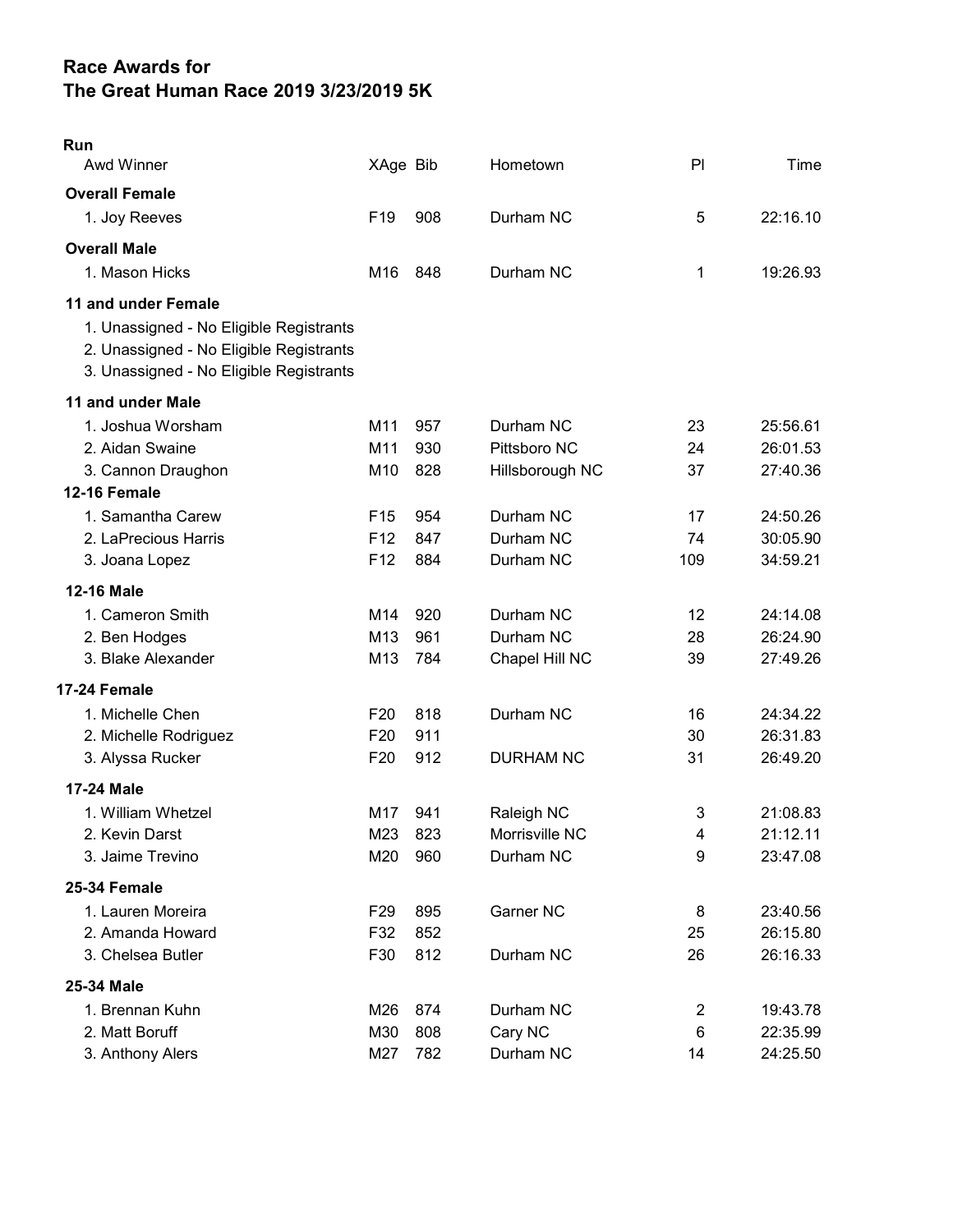## Race Awards for The Great Human Race 2019 3/23/2019 5K

| Run<br>Awd Winner                                                                                                                                    | XAge Bib        |     | Hometown         | P <sub>l</sub> | Time     |
|------------------------------------------------------------------------------------------------------------------------------------------------------|-----------------|-----|------------------|----------------|----------|
| <b>Overall Female</b>                                                                                                                                |                 |     |                  |                |          |
| 1. Joy Reeves                                                                                                                                        | F <sub>19</sub> | 908 | Durham NC        | 5              | 22:16.10 |
| <b>Overall Male</b>                                                                                                                                  |                 |     |                  |                |          |
| 1. Mason Hicks                                                                                                                                       | M16             | 848 | Durham NC        | 1              | 19:26.93 |
| 11 and under Female<br>1. Unassigned - No Eligible Registrants<br>2. Unassigned - No Eligible Registrants<br>3. Unassigned - No Eligible Registrants |                 |     |                  |                |          |
| 11 and under Male                                                                                                                                    |                 |     |                  |                |          |
| 1. Joshua Worsham                                                                                                                                    | M11             | 957 | Durham NC        | 23             | 25:56.61 |
| 2. Aidan Swaine                                                                                                                                      | M11             | 930 | Pittsboro NC     | 24             | 26:01.53 |
| 3. Cannon Draughon                                                                                                                                   | M10             | 828 | Hillsborough NC  | 37             | 27:40.36 |
| 12-16 Female                                                                                                                                         |                 |     |                  |                |          |
| 1. Samantha Carew                                                                                                                                    | F <sub>15</sub> | 954 | Durham NC        | 17             | 24:50.26 |
| 2. LaPrecious Harris                                                                                                                                 | F <sub>12</sub> | 847 | Durham NC        | 74             | 30:05.90 |
| 3. Joana Lopez                                                                                                                                       | F <sub>12</sub> | 884 | Durham NC        | 109            | 34:59.21 |
| <b>12-16 Male</b>                                                                                                                                    |                 |     |                  |                |          |
| 1. Cameron Smith                                                                                                                                     | M14             | 920 | Durham NC        | 12             | 24:14.08 |
| 2. Ben Hodges                                                                                                                                        | M13             | 961 | Durham NC        | 28             | 26:24.90 |
| 3. Blake Alexander                                                                                                                                   | M13             | 784 | Chapel Hill NC   | 39             | 27:49.26 |
| 17-24 Female                                                                                                                                         |                 |     |                  |                |          |
| 1. Michelle Chen                                                                                                                                     | F <sub>20</sub> | 818 | Durham NC        | 16             | 24:34.22 |
| 2. Michelle Rodriguez                                                                                                                                | F <sub>20</sub> | 911 |                  | 30             | 26:31.83 |
| 3. Alyssa Rucker                                                                                                                                     | F <sub>20</sub> | 912 | <b>DURHAM NC</b> | 31             | 26:49.20 |
| 17-24 Male                                                                                                                                           |                 |     |                  |                |          |
| 1. William Whetzel                                                                                                                                   | M17             | 941 | Raleigh NC       | 3              | 21:08.83 |
| 2. Kevin Darst                                                                                                                                       | M23             | 823 | Morrisville NC   | 4              | 21:12.11 |
| 3. Jaime Trevino                                                                                                                                     | M20             | 960 | Durham NC        | 9              | 23:47.08 |
| 25-34 Female                                                                                                                                         |                 |     |                  |                |          |
| 1. Lauren Moreira                                                                                                                                    | F <sub>29</sub> | 895 | Garner NC        | 8              | 23:40.56 |
| 2. Amanda Howard                                                                                                                                     | F32             | 852 |                  | 25             | 26:15.80 |
| 3. Chelsea Butler                                                                                                                                    | F30             | 812 | Durham NC        | 26             | 26:16.33 |
| 25-34 Male                                                                                                                                           |                 |     |                  |                |          |
| 1. Brennan Kuhn                                                                                                                                      | M26             | 874 | Durham NC        | 2              | 19:43.78 |
| 2. Matt Boruff                                                                                                                                       | M30             | 808 | Cary NC          | 6              | 22:35.99 |
| 3. Anthony Alers                                                                                                                                     | M27             | 782 | Durham NC        | 14             | 24:25.50 |